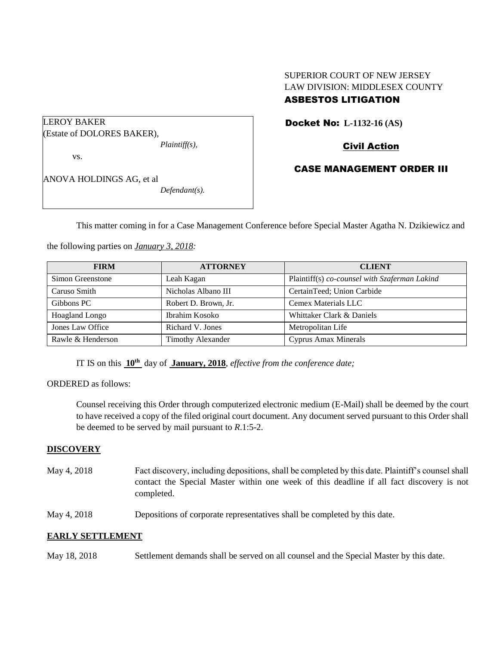# SUPERIOR COURT OF NEW JERSEY LAW DIVISION: MIDDLESEX COUNTY

# ASBESTOS LITIGATION

Docket No: **L-1132-16 (AS)** 

Civil Action

# CASE MANAGEMENT ORDER III

ANOVA HOLDINGS AG, et al *Defendant(s).*

*Plaintiff(s),*

(Estate of DOLORES BAKER),

LEROY BAKER

vs.

This matter coming in for a Case Management Conference before Special Master Agatha N. Dzikiewicz and

the following parties on *January 3, 2018:*

| <b>FIRM</b>       | <b>ATTORNEY</b>          | <b>CLIENT</b>                                 |
|-------------------|--------------------------|-----------------------------------------------|
| Simon Greenstone  | Leah Kagan               | Plaintiff(s) co-counsel with Szaferman Lakind |
| Caruso Smith      | Nicholas Albano III      | CertainTeed; Union Carbide                    |
| Gibbons PC        | Robert D. Brown, Jr.     | Cemex Materials LLC                           |
| Hoagland Longo    | Ibrahim Kosoko           | Whittaker Clark & Daniels                     |
| Jones Law Office  | Richard V. Jones         | Metropolitan Life                             |
| Rawle & Henderson | <b>Timothy Alexander</b> | Cyprus Amax Minerals                          |

IT IS on this **10th** day of **January, 2018**, *effective from the conference date;*

ORDERED as follows:

Counsel receiving this Order through computerized electronic medium (E-Mail) shall be deemed by the court to have received a copy of the filed original court document. Any document served pursuant to this Order shall be deemed to be served by mail pursuant to *R*.1:5-2.

### **DISCOVERY**

- May 4, 2018 Fact discovery, including depositions, shall be completed by this date. Plaintiff's counsel shall contact the Special Master within one week of this deadline if all fact discovery is not completed.
- May 4, 2018 Depositions of corporate representatives shall be completed by this date.

# **EARLY SETTLEMENT**

May 18, 2018 Settlement demands shall be served on all counsel and the Special Master by this date.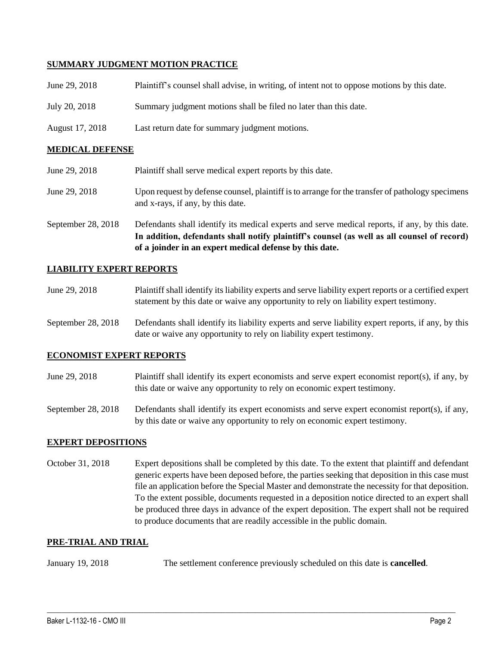## **SUMMARY JUDGMENT MOTION PRACTICE**

| June 29, 2018          | Plaintiff's counsel shall advise, in writing, of intent not to oppose motions by this date. |  |
|------------------------|---------------------------------------------------------------------------------------------|--|
| July 20, 2018          | Summary judgment motions shall be filed no later than this date.                            |  |
| August 17, 2018        | Last return date for summary judgment motions.                                              |  |
| <b>MEDICAL DEFENSE</b> |                                                                                             |  |

| June 29, 2018      | Plaintiff shall serve medical expert reports by this date.                                                                                                                                    |
|--------------------|-----------------------------------------------------------------------------------------------------------------------------------------------------------------------------------------------|
| June 29, 2018      | Upon request by defense counsel, plaintiff is to arrange for the transfer of pathology specimens<br>and x-rays, if any, by this date.                                                         |
| September 28, 2018 | Defendants shall identify its medical experts and serve medical reports, if any, by this date.<br>In addition, defendants shall notify plaintiff's counsel (as well as all counsel of record) |

## **LIABILITY EXPERT REPORTS**

| June 29, 2018 | Plaintiff shall identify its liability experts and serve liability expert reports or a certified expert |
|---------------|---------------------------------------------------------------------------------------------------------|
|               | statement by this date or waive any opportunity to rely on liability expert testimony.                  |

**of a joinder in an expert medical defense by this date.**

September 28, 2018 Defendants shall identify its liability experts and serve liability expert reports, if any, by this date or waive any opportunity to rely on liability expert testimony.

### **ECONOMIST EXPERT REPORTS**

June 29, 2018 Plaintiff shall identify its expert economists and serve expert economist report(s), if any, by this date or waive any opportunity to rely on economic expert testimony.

September 28, 2018 Defendants shall identify its expert economists and serve expert economist report(s), if any, by this date or waive any opportunity to rely on economic expert testimony.

### **EXPERT DEPOSITIONS**

October 31, 2018 Expert depositions shall be completed by this date. To the extent that plaintiff and defendant generic experts have been deposed before, the parties seeking that deposition in this case must file an application before the Special Master and demonstrate the necessity for that deposition. To the extent possible, documents requested in a deposition notice directed to an expert shall be produced three days in advance of the expert deposition. The expert shall not be required to produce documents that are readily accessible in the public domain.

#### **PRE-TRIAL AND TRIAL**

January 19, 2018 The settlement conference previously scheduled on this date is **cancelled**.

 $\_$  ,  $\_$  ,  $\_$  ,  $\_$  ,  $\_$  ,  $\_$  ,  $\_$  ,  $\_$  ,  $\_$  ,  $\_$  ,  $\_$  ,  $\_$  ,  $\_$  ,  $\_$  ,  $\_$  ,  $\_$  ,  $\_$  ,  $\_$  ,  $\_$  ,  $\_$  ,  $\_$  ,  $\_$  ,  $\_$  ,  $\_$  ,  $\_$  ,  $\_$  ,  $\_$  ,  $\_$  ,  $\_$  ,  $\_$  ,  $\_$  ,  $\_$  ,  $\_$  ,  $\_$  ,  $\_$  ,  $\_$  ,  $\_$  ,